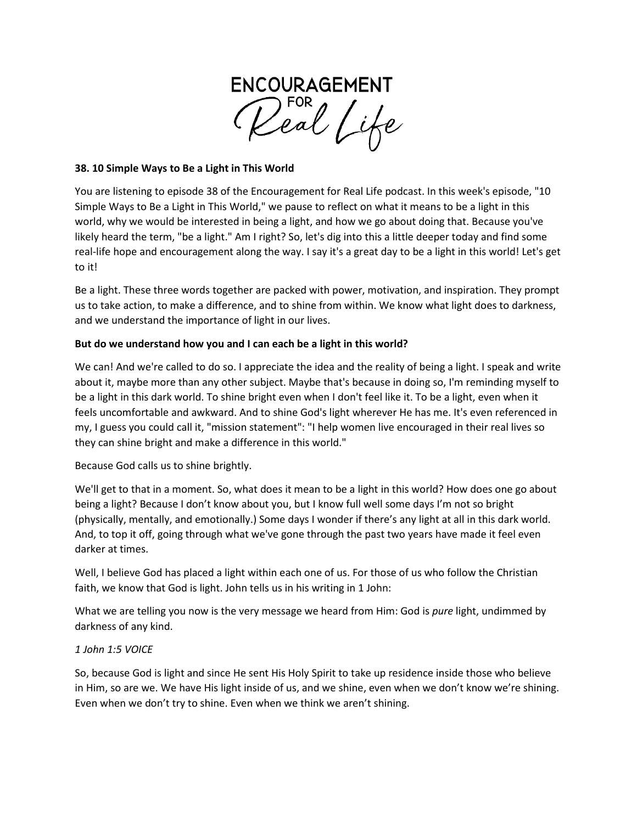

### **38. 10 Simple Ways to Be a Light in This World**

You are listening to episode 38 of the Encouragement for Real Life podcast. In this week's episode, "10 Simple Ways to Be a Light in This World," we pause to reflect on what it means to be a light in this world, why we would be interested in being a light, and how we go about doing that. Because you've likely heard the term, "be a light." Am I right? So, let's dig into this a little deeper today and find some real-life hope and encouragement along the way. I say it's a great day to be a light in this world! Let's get to it!

Be a light. These three words together are packed with power, motivation, and inspiration. They prompt us to take action, to make a difference, and to shine from within. We know what light does to darkness, and we understand the importance of light in our lives.

## **But do we understand how you and I can each be a light in this world?**

We can! And we're called to do so. I appreciate the idea and the reality of being a light. I speak and write about it, maybe more than any other subject. Maybe that's because in doing so, I'm reminding myself to be a light in this dark world. To shine bright even when I don't feel like it. To be a light, even when it feels uncomfortable and awkward. And to shine God's light wherever He has me. It's even referenced in my, I guess you could call it, "mission statement": "I help women live encouraged in their real lives so they can shine bright and make a difference in this world."

Because God calls us to shine brightly.

We'll get to that in a moment. So, what does it mean to be a light in this world? How does one go about being a light? Because I don't know about you, but I know full well some days I'm not so bright (physically, mentally, and emotionally.) Some days I wonder if there's any light at all in this dark world. And, to top it off, going through what we've gone through the past two years have made it feel even darker at times.

Well, I believe God has placed a light within each one of us. For those of us who follow the Christian faith, we know that God is light. John tells us in his writing in 1 John:

What we are telling you now is the very message we heard from Him: God is *pure* light, undimmed by darkness of any kind.

#### *1 John 1:5 VOICE*

So, because God is light and since He sent His Holy Spirit to take up residence inside those who believe in Him, so are we. We have His light inside of us, and we shine, even when we don't know we're shining. Even when we don't try to shine. Even when we think we aren't shining.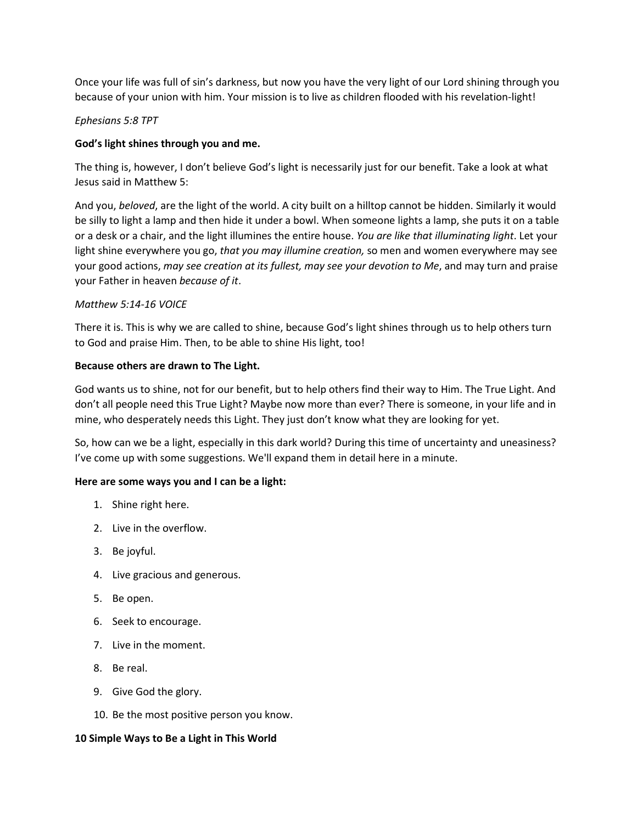Once your life was full of sin's darkness, but now you have the very light of our Lord shining through you because of your union with him. Your mission is to live as children flooded with his revelation-light!

### *Ephesians 5:8 TPT*

## **God's light shines through you and me.**

The thing is, however, I don't believe God's light is necessarily just for our benefit. Take a look at what Jesus said in Matthew 5:

And you, *beloved*, are the light of the world. A city built on a hilltop cannot be hidden. Similarly it would be silly to light a lamp and then hide it under a bowl. When someone lights a lamp, she puts it on a table or a desk or a chair, and the light illumines the entire house. *You are like that illuminating light*. Let your light shine everywhere you go, *that you may illumine creation,* so men and women everywhere may see your good actions, *may see creation at its fullest, may see your devotion to Me*, and may turn and praise your Father in heaven *because of it*.

#### *Matthew 5:14-16 VOICE*

There it is. This is why we are called to shine, because God's light shines through us to help others turn to God and praise Him. Then, to be able to shine His light, too!

#### **Because others are drawn to The Light.**

God wants us to shine, not for our benefit, but to help others find their way to Him. The True Light. And don't all people need this True Light? Maybe now more than ever? There is someone, in your life and in mine, who desperately needs this Light. They just don't know what they are looking for yet.

So, how can we be a light, especially in this dark world? During this time of uncertainty and uneasiness? I've come up with some suggestions. We'll expand them in detail here in a minute.

#### **Here are some ways you and I can be a light:**

- 1. Shine right here.
- 2. Live in the overflow.
- 3. Be joyful.
- 4. Live gracious and generous.
- 5. Be open.
- 6. Seek to encourage.
- 7. Live in the moment.
- 8. Be real.
- 9. Give God the glory.
- 10. Be the most positive person you know.

#### **10 Simple Ways to Be a Light in This World**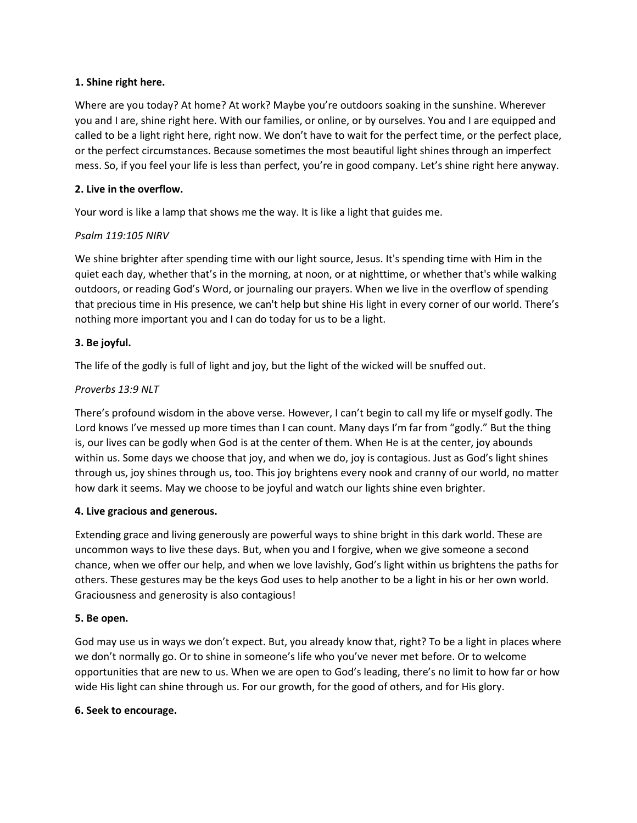## **1. Shine right here.**

Where are you today? At home? At work? Maybe you're outdoors soaking in the sunshine. Wherever you and I are, shine right here. With our families, or online, or by ourselves. You and I are equipped and called to be a light right here, right now. We don't have to wait for the perfect time, or the perfect place, or the perfect circumstances. Because sometimes the most beautiful light shines through an imperfect mess. So, if you feel your life is less than perfect, you're in good company. Let's shine right here anyway.

## **2. Live in the overflow.**

Your word is like a lamp that shows me the way. It is like a light that guides me.

# *Psalm 119:105 NIRV*

We shine brighter after spending time with our light source, Jesus. It's spending time with Him in the quiet each day, whether that's in the morning, at noon, or at nighttime, or whether that's while walking outdoors, or reading God's Word, or journaling our prayers. When we live in the overflow of spending that precious time in His presence, we can't help but shine His light in every corner of our world. There's nothing more important you and I can do today for us to be a light.

# **3. Be joyful.**

The life of the godly is full of light and joy, but the light of the wicked will be snuffed out.

# *Proverbs 13:9 NLT*

There's profound wisdom in the above verse. However, I can't begin to call my life or myself godly. The Lord knows I've messed up more times than I can count. Many days I'm far from "godly." But the thing is, our lives can be godly when God is at the center of them. When He is at the center, joy abounds within us. Some days we choose that joy, and when we do, joy is contagious. Just as God's light shines through us, joy shines through us, too. This joy brightens every nook and cranny of our world, no matter how dark it seems. May we choose to be joyful and watch our lights shine even brighter.

# **4. Live gracious and generous.**

Extending grace and living generously are powerful ways to shine bright in this dark world. These are uncommon ways to live these days. But, when you and I forgive, when we give someone a second chance, when we offer our help, and when we love lavishly, God's light within us brightens the paths for others. These gestures may be the keys God uses to help another to be a light in his or her own world. Graciousness and generosity is also contagious!

#### **5. Be open.**

God may use us in ways we don't expect. But, you already know that, right? To be a light in places where we don't normally go. Or to shine in someone's life who you've never met before. Or to welcome opportunities that are new to us. When we are open to God's leading, there's no limit to how far or how wide His light can shine through us. For our growth, for the good of others, and for His glory.

#### **6. Seek to encourage.**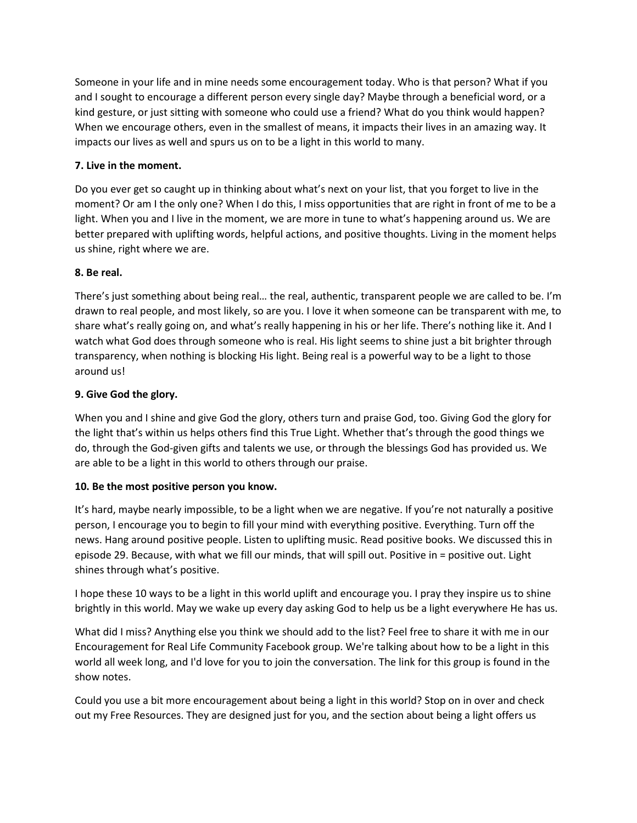Someone in your life and in mine needs some encouragement today. Who is that person? What if you and I sought to encourage a different person every single day? Maybe through a beneficial word, or a kind gesture, or just sitting with someone who could use a friend? What do you think would happen? When we encourage others, even in the smallest of means, it impacts their lives in an amazing way. It impacts our lives as well and spurs us on to be a light in this world to many.

# **7. Live in the moment.**

Do you ever get so caught up in thinking about what's next on your list, that you forget to live in the moment? Or am I the only one? When I do this, I miss opportunities that are right in front of me to be a light. When you and I live in the moment, we are more in tune to what's happening around us. We are better prepared with uplifting words, helpful actions, and positive thoughts. Living in the moment helps us shine, right where we are.

## **8. Be real.**

There's just something about being real… the real, authentic, transparent people we are called to be. I'm drawn to real people, and most likely, so are you. I love it when someone can be transparent with me, to share what's really going on, and what's really happening in his or her life. There's nothing like it. And I watch what God does through someone who is real. His light seems to shine just a bit brighter through transparency, when nothing is blocking His light. Being real is a powerful way to be a light to those around us!

## **9. Give God the glory.**

When you and I shine and give God the glory, others turn and praise God, too. Giving God the glory for the light that's within us helps others find this True Light. Whether that's through the good things we do, through the God-given gifts and talents we use, or through the blessings God has provided us. We are able to be a light in this world to others through our praise.

# **10. Be the most positive person you know.**

It's hard, maybe nearly impossible, to be a light when we are negative. If you're not naturally a positive person, I encourage you to begin to fill your mind with everything positive. Everything. Turn off the news. Hang around positive people. Listen to uplifting music. Read positive books. We discussed this in episode 29. Because, with what we fill our minds, that will spill out. Positive in = positive out. Light shines through what's positive.

I hope these 10 ways to be a light in this world uplift and encourage you. I pray they inspire us to shine brightly in this world. May we wake up every day asking God to help us be a light everywhere He has us.

What did I miss? Anything else you think we should add to the list? Feel free to share it with me in our Encouragement for Real Life Community Facebook group. We're talking about how to be a light in this world all week long, and I'd love for you to join the conversation. The link for this group is found in the show notes.

Could you use a bit more encouragement about being a light in this world? Stop on in over and check out my Free Resources. They are designed just for you, and the section about being a light offers us